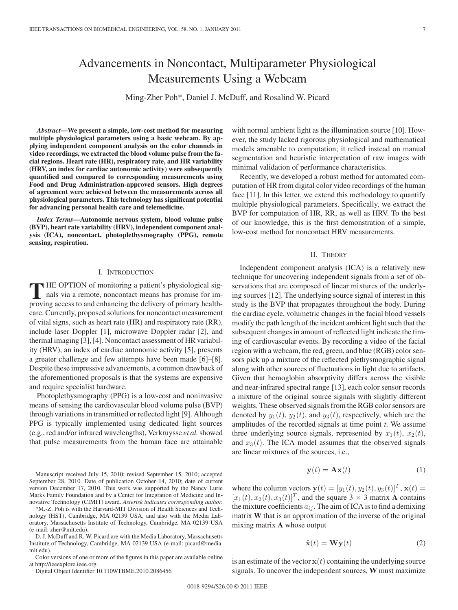# Advancements in Noncontact, Multiparameter Physiological Measurements Using a Webcam

Ming-Zher Poh\*, Daniel J. McDuff, and Rosalind W. Picard

*Abstract***—We present a simple, low-cost method for measuring multiple physiological parameters using a basic webcam. By applying independent component analysis on the color channels in video recordings, we extracted the blood volume pulse from the facial regions. Heart rate (HR), respiratory rate, and HR variability (HRV, an index for cardiac autonomic activity) were subsequently quantified and compared to corresponding measurements using Food and Drug Administration-approved sensors. High degrees of agreement were achieved between the measurements across all physiological parameters. This technology has significant potential for advancing personal health care and telemedicine.**

*Index Terms***—Autonomic nervous system, blood volume pulse (BVP), heart rate variability (HRV), independent component analysis (ICA), noncontact, photoplethysmography (PPG), remote sensing, respiration.**

#### I. INTRODUCTION

**T** HE OPTION of monitoring a patient's physiological signals via a remote, noncontact means has promise for improving access to and enhancing the delivery of primary healthcare. Currently, proposed solutions for noncontact measurement of vital signs, such as heart rate (HR) and respiratory rate (RR), include laser Doppler [1], microwave Doppler radar [2], and thermal imaging [3], [4]. Noncontact assessment of HR variability (HRV), an index of cardiac autonomic activity [5], presents a greater challenge and few attempts have been made [6]–[8]. Despite these impressive advancements, a common drawback of the aforementioned proposals is that the systems are expensive and require specialist hardware.

Photoplethysmography (PPG) is a low-cost and noninvasive means of sensing the cardiovascular blood volume pulse (BVP) through variations in transmitted or reflected light [9]. Although PPG is typically implemented using dedicated light sources (e.g., red and/or infrared wavelengths), Verkruysse *et al.*showed that pulse measurements from the human face are attainable

Manuscript received July 15, 2010; revised September 15, 2010; accepted September 28, 2010. Date of publication October 14, 2010; date of current version December 17, 2010. This work was supported by the Nancy Lurie Marks Family Foundation and by a Center for Integration of Medicine and Innovative Technology (CIMIT) award. *Asterisk indicates corresponding author.*

\*M.-Z. Poh is with the Harvard-MIT Division of Health Sciences and Technology (HST), Cambridge, MA 02139 USA, and also with the Media Laboratory, Massachusetts Institute of Technology, Cambridge, MA 02139 USA (e-mail: zher@mit.edu).

D. J. McDuff and R. W. Picard are with the Media Laboratory, Massachusetts Institute of Technology, Cambridge, MA 02139 USA (e-mail: picard@media. mit.edu).

Color versions of one or more of the figures in this paper are available online at http://ieeexplore.ieee.org.

Digital Object Identifier 10.1109/TBME.2010.2086456

with normal ambient light as the illumination source [10]. However, the study lacked rigorous physiological and mathematical models amenable to computation; it relied instead on manual segmentation and heuristic interpretation of raw images with

minimal validation of performance characteristics. Recently, we developed a robust method for automated computation of HR from digital color video recordings of the human face [11]. In this letter, we extend this methodology to quantify multiple physiological parameters. Specifically, we extract the BVP for computation of HR, RR, as well as HRV. To the best of our knowledge, this is the first demonstration of a simple, low-cost method for noncontact HRV measurements.

#### II. THEORY

Independent component analysis (ICA) is a relatively new technique for uncovering independent signals from a set of observations that are composed of linear mixtures of the underlying sources [12]. The underlying source signal of interest in this study is the BVP that propagates throughout the body. During the cardiac cycle, volumetric changes in the facial blood vessels modify the path length of the incident ambient light such that the subsequent changes in amount of reflected light indicate the timing of cardiovascular events. By recording a video of the facial region with a webcam, the red, green, and blue (RGB) color sensors pick up a mixture of the reflected plethysmographic signal along with other sources of fluctuations in light due to artifacts. Given that hemoglobin absorptivity differs across the visible and near-infrared spectral range [13], each color sensor records a mixture of the original source signals with slightly different weights. These observed signals from the RGB color sensors are denoted by  $y_1(t)$ ,  $y_2(t)$ , and  $y_3(t)$ , respectively, which are the amplitudes of the recorded signals at time point *t*. We assume three underlying source signals, represented by  $x_1(t)$ ,  $x_2(t)$ , and  $x_3(t)$ . The ICA model assumes that the observed signals are linear mixtures of the sources, i.e.,

$$
\mathbf{y}(t) = \mathbf{A}\mathbf{x}(t) \tag{1}
$$

where the column vectors  $\mathbf{y}(t)=[y_1 (t), y_2 (t), y_3 (t)]^T$ ,  $\mathbf{x}(t) =$  $[x_1 (t), x_2 (t), x_3 (t)]^T$ , and the square 3 × 3 matrix **A** contains the mixture coefficients  $a_{ij}$ . The aim of ICA is to find a demixing matrix **W** that is an approximation of the inverse of the original mixing matrix **A** whose output

$$
\hat{\mathbf{x}}(t) = \mathbf{W}\mathbf{y}(t) \tag{2}
$$

is an estimate of the vector  $x(t)$  containing the underlying source signals. To uncover the independent sources, **W** must maximize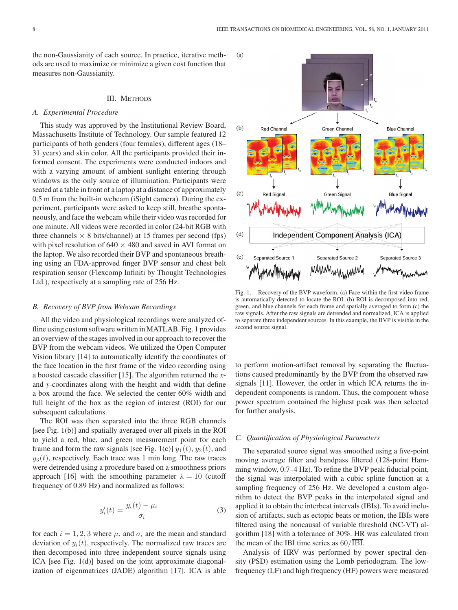the non-Gaussianity of each source. In practice, iterative methods are used to maximize or minimize a given cost function that measures non-Gaussianity.

#### III. METHODS

### *A. Experimental Procedure*

This study was approved by the Institutional Review Board, Massachusetts Institute of Technology. Our sample featured 12 participants of both genders (four females), different ages (18– 31 years) and skin color. All the participants provided their informed consent. The experiments were conducted indoors and with a varying amount of ambient sunlight entering through windows as the only source of illumination. Participants were seated at a table in front of a laptop at a distance of approximately 0.5 m from the built-in webcam (iSight camera). During the experiment, participants were asked to keep still, breathe spontaneously, and face the webcam while their video was recorded for one minute. All videos were recorded in color (24-bit RGB with three channels  $\times$  8 bits/channel) at 15 frames per second (fps) with pixel resolution of  $640 \times 480$  and saved in AVI format on the laptop. We also recorded their BVP and spontaneous breathing using an FDA-approved finger BVP sensor and chest belt respiration sensor (Flexcomp Infiniti by Thought Technologies Ltd.), respectively at a sampling rate of 256 Hz.

#### *B. Recovery of BVP from Webcam Recordings*

All the video and physiological recordings were analyzed offline using custom software written in MATLAB. Fig. 1 provides an overview of the stages involved in our approach to recover the BVP from the webcam videos. We utilized the Open Computer Vision library [14] to automatically identify the coordinates of the face location in the first frame of the video recording using a boosted cascade classifier [15]. The algorithm returned the *x*and *y*-coordinates along with the height and width that define a box around the face. We selected the center 60% width and full height of the box as the region of interest (ROI) for our subsequent calculations.

The ROI was then separated into the three RGB channels [see Fig. 1(b)] and spatially averaged over all pixels in the ROI to yield a red, blue, and green measurement point for each frame and form the raw signals [see Fig. 1(c)]  $y_1(t)$ ,  $y_2(t)$ , and  $y_3(t)$ , respectively. Each trace was 1 min long. The raw traces were detrended using a procedure based on a smoothness priors approach [16] with the smoothing parameter  $\lambda = 10$  (cutoff frequency of 0.89 Hz) and normalized as follows:

$$
y_i'(t) = \frac{y_i(t) - \mu_i}{\sigma_i} \tag{3}
$$

for each  $i = 1, 2, 3$  where  $\mu_i$  and  $\sigma_i$  are the mean and standard deviation of  $y_i(t)$ , respectively. The normalized raw traces are then decomposed into three independent source signals using ICA [see Fig. 1(d)] based on the joint approximate diagonalization of eigenmatrices (JADE) algorithm [17]. ICA is able



Fig. 1. Recovery of the BVP waveform. (a) Face within the first video frame is automatically detected to locate the ROI. (b) ROI is decomposed into red, green, and blue channels for each frame and spatially averaged to form (c) the raw signals. After the raw signals are detrended and normalized, ICA is applied to separate three independent sources. In this example, the BVP is visible in the second source signal.

to perform motion-artifact removal by separating the fluctuations caused predominantly by the BVP from the observed raw signals [11]. However, the order in which ICA returns the independent components is random. Thus, the component whose power spectrum contained the highest peak was then selected for further analysis.

#### *C. Quantification of Physiological Parameters*

The separated source signal was smoothed using a five-point moving average filter and bandpass filtered (128-point Hamming window, 0.7–4 Hz). To refine the BVP peak fiducial point, the signal was interpolated with a cubic spline function at a sampling frequency of 256 Hz. We developed a custom algorithm to detect the BVP peaks in the interpolated signal and applied it to obtain the interbeat intervals (IBIs). To avoid inclusion of artifacts, such as ectopic beats or motion, the IBIs were filtered using the noncausal of variable threshold (NC-VT) algorithm [18] with a tolerance of 30%. HR was calculated from the mean of the IBI time series as  $60/\overline{1 \text{B1}}$ .

Analysis of HRV was performed by power spectral density (PSD) estimation using the Lomb periodogram. The lowfrequency (LF) and high frequency (HF) powers were measured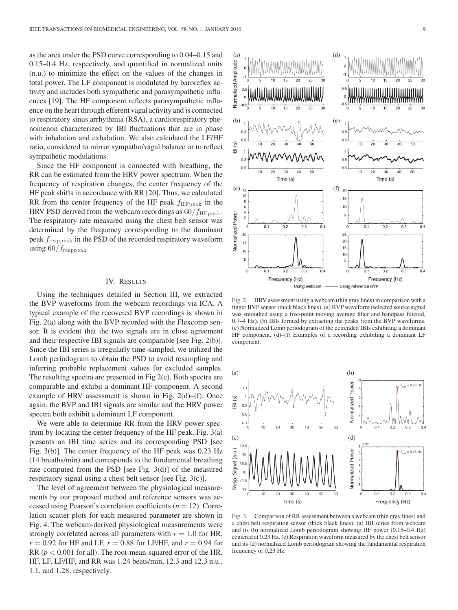as the area under the PSD curve corresponding to 0.04–0.15 and 0.15–0.4 Hz, respectively, and quantified in normalized units (n.u.) to minimize the effect on the values of the changes in total power. The LF component is modulated by baroreflex activity and includes both sympathetic and parasympathetic influences [19]. The HF component reflects parasympathetic influence on the heart through efferent vagal activity and is connected to respiratory sinus arrhythmia (RSA), a cardiorespiratory phenomenon characterized by IBI fluctuations that are in phase with inhalation and exhalation. We also calculated the LF/HF ratio, considered to mirror sympatho/vagal balance or to reflect sympathetic modulations.

Since the HF component is connected with breathing, the RR can be estimated from the HRV power spectrum. When the frequency of respiration changes, the center frequency of the HF peak shifts in accordance with RR [20]. Thus, we calculated RR from the center frequency of the HF peak  $f_{\text{HFpeak}}$  in the HRV PSD derived from the webcam recordings as  $60/f_{\text{HFpeak}}$ . The respiratory rate measured using the chest belt sensor was determined by the frequency corresponding to the dominant peak  $f_{\text{responseak}}$  in the PSD of the recorded respiratory waveform using  $60/f_{\text{responseak}}$ .

## IV. RESULTS

Using the techniques detailed in Section III, we extracted the BVP waveforms from the webcam recordings via ICA. A typical example of the recovered BVP recordings is shown in Fig. 2(a) along with the BVP recorded with the Flexcomp sensor. It is evident that the two signals are in close agreement and their respective IBI signals are comparable [see Fig. 2(b)]. Since the IBI series is irregularly time-sampled, we utilized the Lomb periodogram to obtain the PSD to avoid resampling and inferring probable replacement values for excluded samples. The resulting spectra are presented in Fig 2(c). Both spectra are comparable and exhibit a dominant HF component. A second example of HRV assessment is shown in Fig.  $2(d)$ –(f). Once again, the BVP and IBI signals are similar and the HRV power spectra both exhibit a dominant LF component.

We were able to determine RR from the HRV power spectrum by locating the center frequency of the HF peak. Fig. 3(a) presents an IBI time series and its corresponding PSD [see Fig. 3(b)]. The center frequency of the HF peak was 0.23 Hz (14 breaths/min) and corresponds to the fundamental breathing rate computed from the PSD [see Fig. 3(d)] of the measured respiratory signal using a chest belt sensor [see Fig. 3(c)].

The level of agreement between the physiological measurements by our proposed method and reference sensors was accessed using Pearson's correlation coefficients (*n* = 12). Correlation scatter plots for each measured parameter are shown in Fig. 4. The webcam-derived physiological measurements were strongly correlated across all parameters with  $r = 1.0$  for HR,  $r = 0.92$  for HF and LF,  $r = 0.88$  for LF/HF, and  $r = 0.94$  for RR (*p* < 0.001 for all). The root-mean-squared error of the HR, HF, LF, LF/HF, and RR was 1.24 beats/min, 12.3 and 12.3 n.u., 1.1, and 1.28, respectively.



Fig. 2. HRV assessment using a webcam (thin gray lines) in comparison with a finger BVP sensor (thick black lines). (a) BVP waveform (selected source signal was smoothed using a five-point moving average filter and bandpass filtered, 0.7–4 Hz). (b) IBIs formed by extracting the peaks from the BVP waveforms. (c) Normalized Lomb periodogram of the detrended IBIs exhibiting a dominant HF component. (d)–(f) Examples of a recording exhibiting a dominant LF component.



Fig. 3. Comparison of RR assessment between a webcam (thin gray lines) and a chest belt respiration sensor (thick black lines). (a) IBI series from webcam and its (b) normalized Lomb periodogram showing HF power (0.15–0.4 Hz) centered at 0.23 Hz. (c) Respiration waveform measured by the chest belt sensor and its (d) normalized Lomb periodogram showing the fundamental respiration frequency of 0.23 Hz.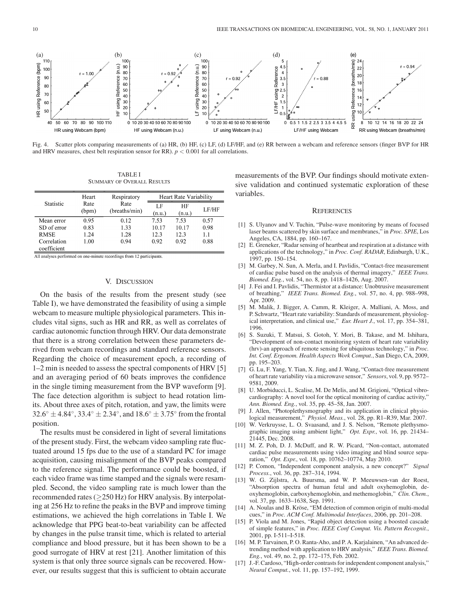

Fig. 4. Scatter plots comparing measurements of (a) HR, (b) HF, (c) LF, (d) LF/HF, and (e) RR between a webcam and reference sensors (finger BVP for HR and HRV measures, chest belt respiration sensor for RR). *p* < 0.001 for all correlations.

TABLE I SUMMARY OF OVERALL RESULTS

| Statistic                  | Heart<br>Rate<br>(bpm) | Respiratory<br>Rate<br>(breaths/min) | <b>Heart Rate Variability</b> |              |       |
|----------------------------|------------------------|--------------------------------------|-------------------------------|--------------|-------|
|                            |                        |                                      | LF<br>(n.u.)                  | ΗF<br>(n.u.) | LF/HF |
| Mean error                 | 0.95                   | 0.12                                 | 7.53                          | 7.53         | 0.57  |
| SD of error                | 0.83                   | 1.33                                 | 10.17                         | 10.17        | 0.98  |
| <b>RMSE</b>                | 1.24                   | 1.28                                 | 12.3                          | 12.3         | 1.1   |
| Correlation<br>coefficient | 1.00                   | 0.94                                 | 0.92                          | 0.92         | 0.88  |

All analyses performed on one-minute recordings from 12 participants.

### V. DISCUSSION

On the basis of the results from the present study (see Table I), we have demonstrated the feasibility of using a simple webcam to measure multiple physiological parameters. This includes vital signs, such as HR and RR, as well as correlates of cardiac autonomic function through HRV. Our data demonstrate that there is a strong correlation between these parameters derived from webcam recordings and standard reference sensors. Regarding the choice of measurement epoch, a recording of 1–2 min is needed to assess the spectral components of HRV [5] and an averaging period of 60 beats improves the confidence in the single timing measurement from the BVP waveform [9]. The face detection algorithm is subject to head rotation limits. About three axes of pitch, rotation, and yaw, the limits were  $32.6° \pm 4.84°$ ,  $33.4° \pm 2.34°$ , and  $18.6° \pm 3.75°$  from the frontal position.

The results must be considered in light of several limitations of the present study. First, the webcam video sampling rate fluctuated around 15 fps due to the use of a standard PC for image acquisition, causing misalignment of the BVP peaks compared to the reference signal. The performance could be boosted, if each video frame was time stamped and the signals were resampled. Second, the video sampling rate is much lower than the recommended rates ( $\geq$ 250 Hz) for HRV analysis. By interpolating at 256 Hz to refine the peaks in the BVP and improve timing estimations, we achieved the high correlations in Table I. We acknowledge that PPG beat-to-beat variability can be affected by changes in the pulse transit time, which is related to arterial compliance and blood pressure, but it has been shown to be a good surrogate of HRV at rest [21]. Another limitation of this system is that only three source signals can be recovered. However, our results suggest that this is sufficient to obtain accurate measurements of the BVP. Our findings should motivate extensive validation and continued systematic exploration of these variables.

#### **REFERENCES**

- [1] S. Ulyanov and V. Tuchin, "Pulse-wave monitoring by means of focused laser beams scattered by skin surface and membranes," in *Proc. SPIE*, Los Angeles, CA, 1884, pp. 160–167.
- [2] E. Greneker, "Radar sensing of heartbeat and respiration at a distance with applications of the technology," in *Proc. Conf. RADAR*, Edinburgh, U.K., 1997, pp. 150–154.
- [3] M. Garbey, N. Sun, A. Merla, and I. Pavlidis, "Contact-free measurement of cardiac pulse based on the analysis of thermal imagery," *IEEE Trans. Biomed. Eng.*, vol. 54, no. 8, pp. 1418–1426, Aug. 2007.
- [4] J. Fei and I. Pavlidis, "Thermistor at a distance: Unobtrusive measurement of breathing," *IEEE Trans. Biomed. Eng.*, vol. 57, no. 4, pp. 988–998, Apr. 2009.
- [5] M. Malik, J. Bigger, A. Camm, R. Kleiger, A. Malliani, A. Moss, and P. Schwartz, "Heart rate variability: Standards of measurement, physiological interpretation, and clinical use," *Eur. Heart J.*, vol. 17, pp. 354–381, 1996.
- [6] S. Suzuki, T. Matsui, S. Gotoh, Y. Mori, B. Takase, and M. Ishihara, "Development of non-contact monitoring system of heart rate variability (hrv)-an approach of remote sensing for ubiquitous technology," in *Proc. Int. Conf. Ergonom. Health Aspects Work Comput.*, San Diego, CA, 2009, pp. 195–203.
- [7] G. Lu, F. Yang, Y. Tian, X. Jing, and J. Wang, "Contact-free measurement of heart rate variability via a microwave sensor," *Sensors*, vol. 9, pp. 9572– 9581, 2009.
- [8] U. Morbiducci, L. Scalise, M. De Melis, and M. Grigioni, "Optical vibrocardiography: A novel tool for the optical monitoring of cardiac activity," *Ann. Biomed. Eng.*, vol. 35, pp. 45–58, Jan. 2007.
- [9] J. Allen, "Photoplethysmography and its application in clinical physiological measurement," *Physiol. Meas.*, vol. 28, pp. R1–R39, Mar. 2007.
- [10] W. Verkruysse, L. O. Svaasand, and J. S. Nelson, "Remote plethysmographic imaging using ambient light," *Opt. Expr.*, vol. 16, pp. 21434– 21445, Dec. 2008.
- [11] M. Z. Poh, D. J. McDuff, and R. W. Picard, "Non-contact, automated cardiac pulse measurements using video imaging and blind source separation," *Opt. Expr.*, vol. 18, pp. 10762–10774, May 2010.
- [12] P. Comon, "Independent component analysis, a new concept?" *Signal Process.*, vol. 36, pp. 287–314, 1994.
- [13] W. G. Zijlstra, A. Buursma, and W. P. Meeuwsen-van der Roest, "Absorption spectra of human fetal and adult oxyhemoglobin, deoxyhemoglobin, carboxyhemoglobin, and methemoglobin," *Clin. Chem.*, vol. 37, pp. 1633–1638, Sep. 1991.
- [14] A. Noulas and B. Kröse, "EM detection of common origin of multi-modal cues," in *Proc. ACM Conf. Multimodal Interfaces*, 2006, pp. 201–208.
- [15] P. Viola and M. Jones, "Rapid object detection using a boosted cascade of simple features," in *Proc. IEEE Conf Comput. Vis. Pattern Recognit.*, 2001, pp. I-511–I-518.
- [16] M. P. Tarvainen, P. O. Ranta-Aho, and P. A. Karjalainen, "An advanced detrending method with application to HRV analysis," *IEEE Trans. Biomed. Eng.*, vol. 49, no. 2, pp. 172–175, Feb. 2002.
- [17] J.-F. Cardoso, "High-order contrasts for independent component analysis," *Neural Comput.*, vol. 11, pp. 157–192, 1999.